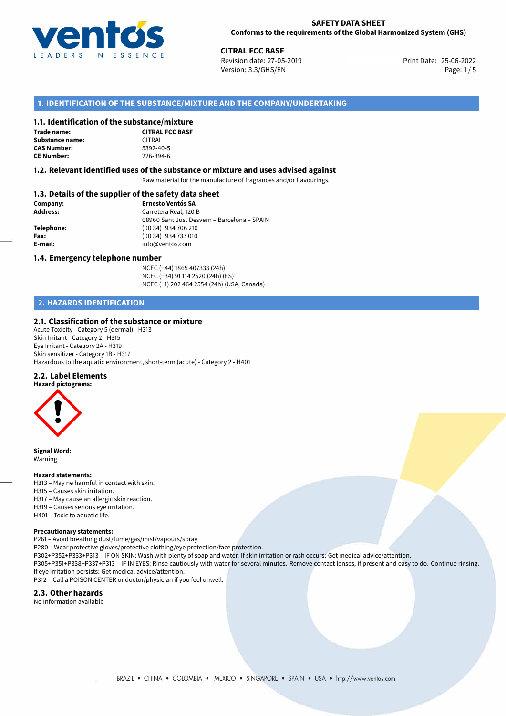

## **SAFETY DATA SHEET Conforms to the requirements of the Global Harmonized System (GHS)**

**CITRAL FCC BASF**<br>
Revision date: 27-05-2019 **Print Date: 25-06-2022** Version: 3.3/GHS/EN Page: 1/5

## **1. IDENTIFICATION OF THE SUBSTANCE/MIXTURE AND THE COMPANY/UNDERTAKING**

## **1.1. Identification of the substance/mixture**

**Trade name: Substance name: CAS Number: CE Number:** 226-394-6

| סנטוונכן וווואנטו כ    |
|------------------------|
| <b>CITRAL FCC BASE</b> |
| CITRAL                 |
| 5392-40-5              |
| 226-394-6              |

## **1.2. Relevant identified uses of the substance or mixture and uses advised against**

Raw material for the manufacture of fragrances and/or flavourings.

# **1.3. Details of the supplier of the safety data sheet**

| Company:        | <b>Ernesto Ventós SA</b>                    |
|-----------------|---------------------------------------------|
| <b>Address:</b> | Carretera Real, 120 B                       |
|                 | 08960 Sant Just Desvern – Barcelona – SPAIN |
| Telephone:      | (00 34) 934 706 210                         |
| Fax:            | (00 34) 934 733 010                         |
| E-mail:         | info@ventos.com                             |
|                 |                                             |

## **1.4. Emergency telephone number**

NCEC (+44) 1865 407333 (24h) NCEC (+34) 91 114 2520 (24h) (ES) NCEC (+1) 202 464 2554 (24h) (USA, Canada)

## **2. HAZARDS IDENTIFICATION**

## **2.1. Classification of the substance or mixture**

Acute Toxicity - Category 5 (dermal) - H313 Skin Irritant - Category 2 - H315 Eye Irritant - Category 2A - H319 Skin sensitizer - Category 1B - H317 Hazardous to the aquatic environment, short-term (acute) - Category 2 - H401

#### **2.2. Label Elements**



**Signal Word:** Warning

#### **Hazard statements:**

- H313 May ne harmful in contact with skin.
- H315 Causes skin irritation.
- H317 May cause an allergic skin reaction.
- H319 Causes serious eye irritation.
- H401 Toxic to aquatic life.

#### **Precautionary statements:**

P261 – Avoid breathing dust/fume/gas/mist/vapours/spray. P280 – Wear protective gloves/protective clothing/eye protection/face protection. P302+P352+P333+P313 – IF ON SKIN: Wash with plenty of soap and water. If skin irritation or rash occurs: Get medical advice/attention.

P305+P351+P338+P337+P313 – IF IN EYES: Rinse cautiously with water for several minutes. Remove contact lenses, if present and easy to do. Continue rinsing. If eye irritation persists: Get medical advice/attention.

P312 – Call a POISON CENTER or doctor/physician if you feel unwell.

## **2.3. Other hazards**

No Information available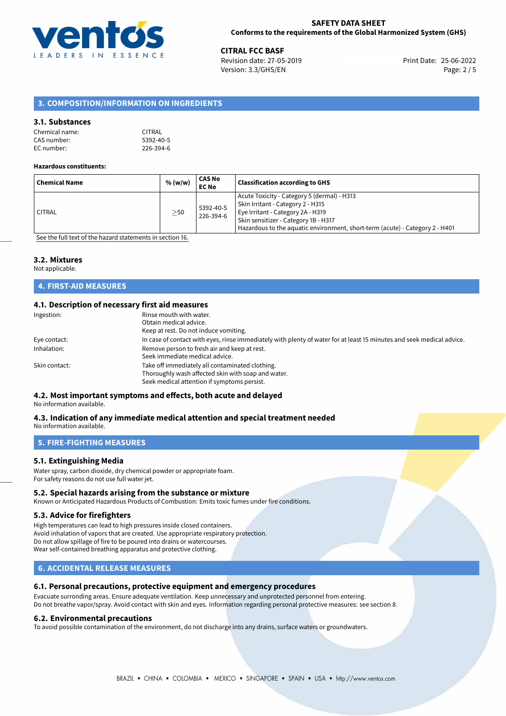

25-06-2022 **CITRAL FCC BASF** Revision date: 27-05-2019 Print Date: Version: 3.3/GHS/EN Page: 2 / 5

## **3. COMPOSITION/INFORMATION ON INGREDIENTS**

## **3.1. Substances**

| Chemical name: | <b>CITRAL</b> |
|----------------|---------------|
| CAS number:    | 5392-40-5     |
| EC number:     | 226-394-6     |

#### **Hazardous constituents:**

| Acute Toxicity - Category 5 (dermal) - H313<br>Skin Irritant - Category 2 - H315<br>5392-40-5<br>Eye Irritant - Category 2A - H319<br><b>CITRAL</b><br>$\geq$ 50<br>226-394-6<br>Skin sensitizer - Category 1B - H317<br>Hazardous to the aquatic environment, short-term (acute) - Category 2 - H401 | <b>Chemical Name</b> | % (w/w) | CAS No<br><b>EC No</b> | <b>Classification according to GHS</b> |
|-------------------------------------------------------------------------------------------------------------------------------------------------------------------------------------------------------------------------------------------------------------------------------------------------------|----------------------|---------|------------------------|----------------------------------------|
|                                                                                                                                                                                                                                                                                                       |                      |         |                        |                                        |

[See the full text of the hazard statements in section 16.](#page-4-0)

## **3.2. Mixtures**

Not applicable.

## **4. FIRST-AID MEASURES**

## **4.1. Description of necessary first aid measures**

| Ingestion:    | Rinse mouth with water.<br>Obtain medical advice.<br>Keep at rest. Do not induce vomiting.                                                           |
|---------------|------------------------------------------------------------------------------------------------------------------------------------------------------|
| Eye contact:  | In case of contact with eyes, rinse immediately with plenty of water for at least 15 minutes and seek medical advice.                                |
| Inhalation:   | Remove person to fresh air and keep at rest.<br>Seek immediate medical advice.                                                                       |
| Skin contact: | Take off immediately all contaminated clothing.<br>Thoroughly wash affected skin with soap and water.<br>Seek medical attention if symptoms persist. |

## **4.2. Most important symptoms and effects, both acute and delayed**

No information available.

#### **4.3. Indication of any immediate medical attention and special treatment needed** No information available.

**5. FIRE-FIGHTING MEASURES**

## **5.1. Extinguishing Media**

Water spray, carbon dioxide, dry chemical powder or appropriate foam. For safety reasons do not use full water jet.

## **5.2. Special hazards arising from the substance or mixture**

Known or Anticipated Hazardous Products of Combustion: Emits toxic fumes under fire conditions.

#### **5.3. Advice for firefighters**

High temperatures can lead to high pressures inside closed containers. Avoid inhalation of vapors that are created. Use appropriate respiratory protection. Do not allow spillage of fire to be poured into drains or watercourses. Wear self-contained breathing apparatus and protective clothing.

## **6. ACCIDENTAL RELEASE MEASURES**

#### **6.1. Personal precautions, protective equipment and emergency procedures**

Evacuate surronding areas. Ensure adequate ventilation. Keep unnecessary and unprotected personnel from entering. Do not breathe vapor/spray. Avoid contact with skin and eyes. Information regarding personal protective measures: see section 8.

#### **6.2. Environmental precautions**

To avoid possible contamination of the environment, do not discharge into any drains, surface waters or groundwaters.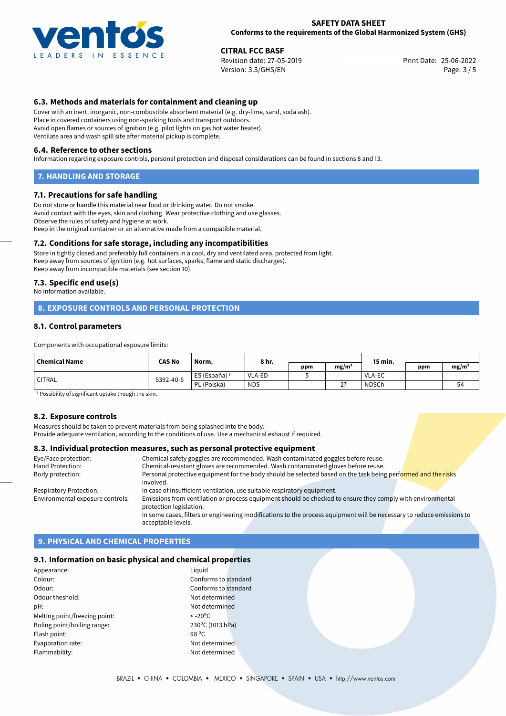

## **SAFETY DATA SHEET Conforms to the requirements of the Global Harmonized System (GHS)**

25-06-2022 **CITRAL FCC BASF** Revision date: 27-05-2019 Print Date: Version: 3.3/GHS/EN Page: 3 / 5

## **6.3. Methods and materials for containment and cleaning up**

Cover with an inert, inorganic, non-combustible absorbent material (e.g. dry-lime, sand, soda ash). Place in covered containers using non-sparking tools and transport outdoors. Avoid open flames or sources of ignition (e.g. pilot lights on gas hot water heater). Ventilate area and wash spill site after material pickup is complete.

#### **6.4. Reference to other sections**

Information regarding exposure controls, personal protection and disposal considerations can be found in sections 8 and 13.

## **7. HANDLING AND STORAGE**

## **7.1. Precautions for safe handling**

Do not store or handle this material near food or drinking water. Do not smoke. Avoid contact with the eyes, skin and clothing. Wear protective clothing and use glasses. Observe the rules of safety and hygiene at work. Keep in the original container or an alternative made from a compatible material.

## **7.2. Conditions for safe storage, including any incompatibilities**

Store in tightly closed and preferably full containers in a cool, dry and ventilated area, protected from light. Keep away from sources of ignition (e.g. hot surfaces, sparks, flame and static discharges). Keep away from incompatible materials (see section 10).

## **7.3. Specific end use(s)**

No information available.

## **8. EXPOSURE CONTROLS AND PERSONAL PROTECTION**

## **8.1. Control parameters**

Components with occupational exposure limits:

| <b>Chemical Name</b> | <b>CAS No</b> | Norm.                    | 8 hr.         |     |                   | 15 min.      |     |                   |
|----------------------|---------------|--------------------------|---------------|-----|-------------------|--------------|-----|-------------------|
|                      |               |                          |               | ppm | mg/m <sup>3</sup> |              | ppm | mg/m <sup>3</sup> |
| <b>CITRAL</b>        | 5392-40-5     | ES (España) <sup>1</sup> | <b>VLA-ED</b> |     |                   | VLA-EC       |     |                   |
|                      |               | PL (Polska)              | <b>NDS</b>    |     | $\sim$            | <b>NDSCh</b> |     | 54                |

<sup>1</sup> Possibility of significant uptake though the skin.

## **8.2. Exposure controls**

Measures should be taken to prevent materials from being splashed into the body.

Provide adequate ventilation, according to the conditions of use. Use a mechanical exhaust if required.

## **8.3. Individual protection measures, such as personal protective equipment**

acceptable levels.

| Chemical safety goggles are recommended. Wash contaminated goggles before reuse.                                      |
|-----------------------------------------------------------------------------------------------------------------------|
| Chemical-resistant gloves are recommended. Wash contaminated gloves before reuse.                                     |
| Personal protective equipment for the body should be selected based on the task being performed and the risks         |
| involved.                                                                                                             |
| In case of insufficient ventilation, use suitable respiratory equipment.                                              |
| Emissions from ventilation or process equipment should be checked to ensure they comply with environmental            |
| protection legislation.                                                                                               |
| In some cases, filters or engineering modifications to the process equipment will be necessary to reduce emissions to |
|                                                                                                                       |

## **9. PHYSICAL AND CHEMICAL PROPERTIES**

## **9.1. Information on basic physical and chemical properties**

| Appearance:                   | Liguid                 |
|-------------------------------|------------------------|
| Colour:                       | Conforms to standard   |
| Odour:                        | Conforms to standard   |
| Odour theshold:               | Not determined         |
| pH:                           | Not determined         |
| Melting point/freezing point: | $< -20$ <sup>o</sup> C |
| Boling point/boiling range:   | 230°C (1013 hPa)       |
| Flash point:                  | 98 °C                  |
| Evaporation rate:             | Not determined         |
| Flammability:                 | Not determined         |
|                               |                        |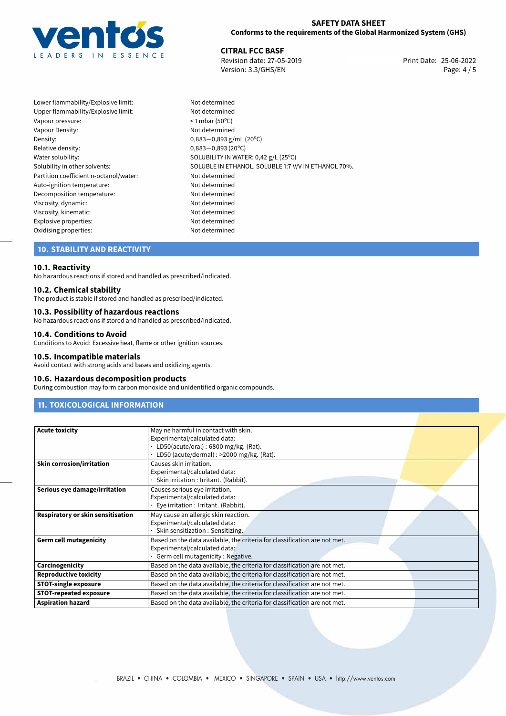

## **SAFETY DATA SHEET Conforms to the requirements of the Global Harmonized System (GHS)**

25-06-2022 **CITRAL FCC BASF** Revision date: 27-05-2019 Print Date: Version: 3.3/GHS/EN Page: 4/5

Lower flammability/Explosive limit: Not determined Upper flammability/Explosive limit: Not determined Vapour pressure:  $\leq 1$  mbar (50°C) Vapour Density:<br>
Density:<br>  $0,883-0,893$  g/ Density: 0,883−0,893 g/mL (20°C)<br>Relative density: 0.883−0.893 (20°C) Relative density: 0,883−0,893 (20°C)<br>Water solubility: 0,883−0,893 (20°C) Partition coefficient n-octanol/water: Not determined Auto-ignition temperature: Not determined Decomposition temperature: Not determined Viscosity, dynamic: Not determined Viscosity, kinematic: Not determined Explosive properties: Not determined Oxidising properties: Not determined

SOLUBILITY IN WATER: 0,42 g/L (25°C) Solubility in other solvents: SOLUBLE IN ETHANOL. SOLUBLE 1:7 V/V IN ETHANOL 70%.

## **10. STABILITY AND REACTIVITY**

## **10.1. Reactivity**

No hazardous reactions if stored and handled as prescribed/indicated.

## **10.2. Chemical stability**

The product is stable if stored and handled as prescribed/indicated.

## **10.3. Possibility of hazardous reactions**

No hazardous reactions if stored and handled as prescribed/indicated.

## **10.4. Conditions to Avoid**

Conditions to Avoid: Excessive heat, flame or other ignition sources.

#### **10.5. Incompatible materials**

Avoid contact with strong acids and bases and oxidizing agents.

#### **10.6. Hazardous decomposition products**

During combustion may form carbon monoxide and unidentified organic compounds.

# **11. TOXICOLOGICAL INFORMATION**

| <b>Acute toxicity</b>             | May ne harmful in contact with skin.                                      |
|-----------------------------------|---------------------------------------------------------------------------|
|                                   | Experimental/calculated data:                                             |
|                                   | LD50(acute/oral): 6800 mg/kg. (Rat).                                      |
|                                   | LD50 (acute/dermal) : >2000 mg/kg. (Rat).                                 |
| <b>Skin corrosion/irritation</b>  | Causes skin irritation.                                                   |
|                                   | Experimental/calculated data:                                             |
|                                   | Skin irritation : Irritant. (Rabbit).                                     |
| Serious eye damage/irritation     | Causes serious eye irritation.                                            |
|                                   | Experimental/calculated data:                                             |
|                                   | Eye irritation : Irritant. (Rabbit).                                      |
| Respiratory or skin sensitisation | May cause an allergic skin reaction.                                      |
|                                   | Experimental/calculated data:                                             |
|                                   | Skin sensitization : Sensitizing.                                         |
| <b>Germ cell mutagenicity</b>     | Based on the data available, the criteria for classification are not met. |
|                                   | Experimental/calculated data:                                             |
|                                   | Germ cell mutagenicity: Negative.                                         |
| Carcinogenicity                   | Based on the data available, the criteria for classification are not met. |
| <b>Reproductive toxicity</b>      | Based on the data available, the criteria for classification are not met. |
| <b>STOT-single exposure</b>       | Based on the data available, the criteria for classification are not met. |
| <b>STOT-repeated exposure</b>     | Based on the data available, the criteria for classification are not met. |
| <b>Aspiration hazard</b>          | Based on the data available, the criteria for classification are not met. |